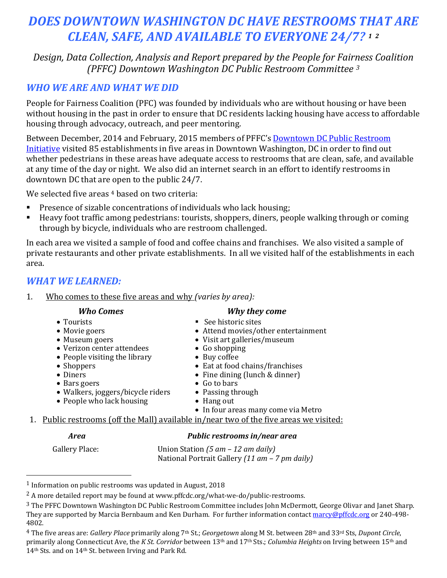# *DOES DOWNTOWN WASHINGTON DC HAVE RESTROOMS THAT ARE CLEAN, SAFE, AND AVAILABLE TO EVERYONE 24/7? [1](#page-0-0) [2](#page-0-1)*

*Design, Data Collection, Analysis and Report prepared by the People for Fairness Coalition (PFFC) Downtown Washington DC Public Restroom Committee [3](#page-0-2)*

## *WHO WE ARE AND WHAT WE DID*

People for Fairness Coalition (PFC) was founded by individuals who are without housing or have been without housing in the past in order to ensure that DC residents lacking housing have access to affordable housing through advocacy, outreach, and peer mentoring.

Between December, 2014 and February, 2015 members of PFFC's [Downtown DC Public Restroom](http://www.pffcdc.org/what-we-do/public-restrooms)  [Initiative](http://www.pffcdc.org/what-we-do/public-restrooms) visited 85 establishments in five areas in Downtown Washington, DC in order to find out whether pedestrians in these areas have adequate access to restrooms that are clean, safe, and available at any time of the day or night. We also did an internet search in an effort to identify restrooms in downtown DC that are open to the public 24/7.

We selected five areas <sup>[4](#page-0-3)</sup> based on two criteria:

- Presence of sizable concentrations of individuals who lack housing;<br>Peavy foot traffic among pedestrians: tourists, shoppers, diners, people
- Heavy foot traffic among pedestrians: tourists, shoppers, diners, people walking through or coming through by bicycle, individuals who are restroom challenged.

In each area we visited a sample of food and coffee chains and franchises. We also visited a sample of private restaurants and other private establishments. In all we visited half of the establishments in each area.

### *WHAT WE LEARNED:*

#### 1. Who comes to these five areas and why *(varies by area):*

- Tourists
- Movie goers
- Museum goers
- Verizon center attendees
- People visiting the library
- Shoppers • Diners
- Bars goers
- Walkers, joggers/bicycle riders
- People who lack housing
- 
- 1. Public restrooms (off the Mall) available in/near two of the five areas we visited:

#### *Area Public restrooms in/near area*

Gallery Place: Union Station *(5 am – 12 am daily)* National Portrait Gallery *(11 am – 7 pm daily)*

#### *Who Comes Why they come*

- See historic sites
- Attend movies/other entertainment
- Visit art galleries/museum
- Go shopping
- Buy coffee
- Eat at food chains/franchises
- Fine dining (lunch & dinner)
- Go to bars
- Passing through
- Hang out
- In four areas many come via Metro

<span id="page-0-0"></span><sup>1</sup> Information on public restrooms was updated in August, 2018

<span id="page-0-1"></span><sup>2</sup> A more detailed report may be found at www.pffcdc.org/what-we-do/public-restrooms.

<span id="page-0-2"></span><sup>3</sup> The PFFC Downtown Washington DC Public Restroom Committee includes John McDermott, George Olivar and Janet Sharp. They are supported by Marcia Bernbaum and Ken Durham. For further information contac[t marcy@pffcdc.org](mailto:marcy@pffcdc.org) or 240-498- 4802.

<span id="page-0-3"></span><sup>4</sup> The five areas are: *Gallery Place* primarily along 7th St.; *Georgetown* along M St. between 28th and 33rd Sts, *Dupont Circle*, primarily along Connecticut Ave, the *K St. Corridor* between 13th and 17th Sts.; *Columbia Heights* on Irving between 15th and 14th Sts. and on 14th St. between Irving and Park Rd.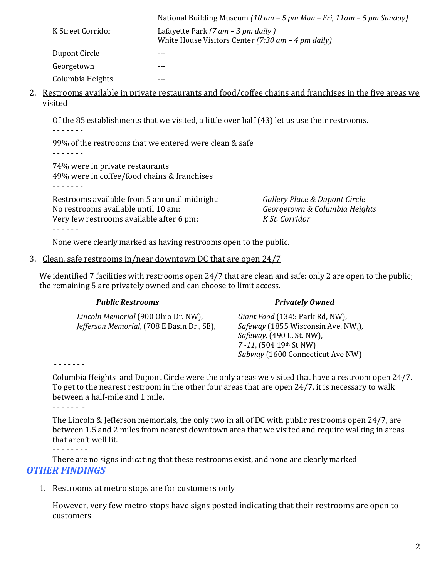|                   | National Building Museum (10 am – 5 pm Mon – Fri, 11am – 5 pm Sunday) |
|-------------------|-----------------------------------------------------------------------|
| K Street Corridor | Lafayette Park (7 $am - 3$ pm daily)                                  |
|                   | White House Visitors Center (7:30 $am - 4$ pm daily)                  |
| Dupont Circle     | $---$                                                                 |
| Georgetown        |                                                                       |
| Columbia Heights  |                                                                       |

2. Restrooms available in private restaurants and food/coffee chains and franchises in the five areas we visited

Of the 85 establishments that we visited, a little over half (43) let us use their restrooms. - - - - - - -

99% of the restrooms that we entered were clean & safe - - - - - - -

74% were in private restaurants 49% were in coffee/food chains & franchises - - - - - - -

Restrooms available from 5 am until midnight: *Gallery Place & Dupont Circle* No restrooms available until 10 am:<br>
Verv few restrooms available after 6 pm:<br> *K St. Corridor* Very few restrooms available after 6 pm: - - - - - -

None were clearly marked as having restrooms open to the public.

#### 3. Clean, safe restrooms in/near downtown DC that are open 24/7 .

We identified 7 facilities with restrooms open 24/7 that are clean and safe: only 2 are open to the public; the remaining 5 are privately owned and can choose to limit access.

| T ANIIL YICƏN QOIIIƏ                              | <i>LIVALCIV UWIICU</i>                    |
|---------------------------------------------------|-------------------------------------------|
| Lincoln Memorial (900 Ohio Dr. NW),               | Giant Food (1345 Park Rd, NW),            |
| <i>Jefferson Memorial, (708 E Basin Dr., SE),</i> | <i>Safeway</i> (1855 Wisconsin Ave. NW,), |
|                                                   | <i>Safeway</i> , (490 L. St. NW),         |
|                                                   | $7 - 11$ , (504 19 <sup>th</sup> St NW)   |
|                                                   | Subway (1600 Connecticut Ave NW)          |

 *Public Restrooms Privately Owned*

- - - - - - -

Columbia Heights and Dupont Circle were the only areas we visited that have a restroom open 24/7. To get to the nearest restroom in the other four areas that are open 24/7, it is necessary to walk between a half-mile and 1 mile.

The Lincoln & Jefferson memorials, the only two in all of DC with public restrooms open 24/7, are between 1.5 and 2 miles from nearest downtown area that we visited and require walking in areas that aren't well lit.

- - - - - - - -

There are no signs indicating that these restrooms exist, and none are clearly marked *OTHER FINDINGS*

#### 1. Restrooms at metro stops are for customers only

However, very few metro stops have signs posted indicating that their restrooms are open to customers